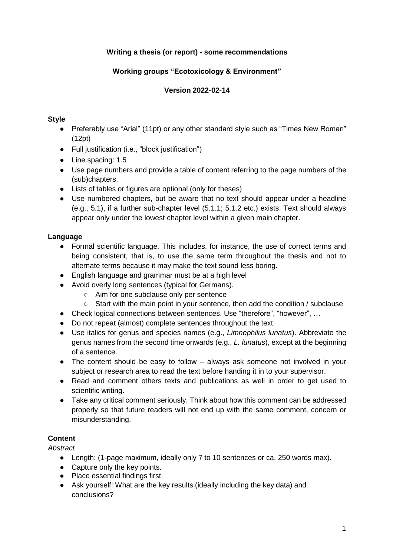## **Writing a thesis (or report) - some recommendations**

## **Working groups "Ecotoxicology & Environment"**

### **Version 2022-02-14**

#### **Style**

- Preferably use "Arial" (11pt) or any other standard style such as "Times New Roman" (12pt)
- Full justification (i.e., "block justification")
- Line spacing: 1.5
- Use page numbers and provide a table of content referring to the page numbers of the (sub)chapters.
- Lists of tables or figures are optional (only for theses)
- Use numbered chapters, but be aware that no text should appear under a headline (e.g., 5.1), if a further sub-chapter level (5.1.1; 5.1.2 etc.) exists. Text should always appear only under the lowest chapter level within a given main chapter.

### **Language**

- Formal scientific language. This includes, for instance, the use of correct terms and being consistent, that is, to use the same term throughout the thesis and not to alternate terms because it may make the text sound less boring.
- English language and grammar must be at a high level
- Avoid overly long sentences (typical for Germans).
	- Aim for one subclause only per sentence
	- Start with the main point in your sentence, then add the condition / subclause
- Check logical connections between sentences. Use "therefore", "however", ...
- Do not repeat (almost) complete sentences throughout the text.
- Use italics for genus and species names (e.g., *Limnephilus lunatus*). Abbreviate the genus names from the second time onwards (e.g., *L. lunatus*), except at the beginning of a sentence.
- The content should be easy to follow always ask someone not involved in your subject or research area to read the text before handing it in to your supervisor.
- Read and comment others texts and publications as well in order to get used to scientific writing.
- Take any critical comment seriously. Think about how this comment can be addressed properly so that future readers will not end up with the same comment, concern or misunderstanding.

### **Content**

*Abstract*

- Length: (1-page maximum, ideally only 7 to 10 sentences or ca. 250 words max).
- Capture only the key points.
- Place essential findings first.
- Ask yourself: What are the key results (ideally including the key data) and conclusions?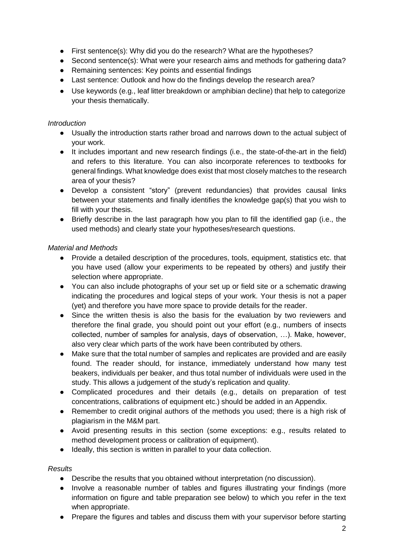- First sentence(s): Why did you do the research? What are the hypotheses?
- Second sentence(s): What were your research aims and methods for gathering data?
- Remaining sentences: Key points and essential findings
- Last sentence: Outlook and how do the findings develop the research area?
- Use keywords (e.g., leaf litter breakdown or amphibian decline) that help to categorize your thesis thematically.

#### *Introduction*

- Usually the introduction starts rather broad and narrows down to the actual subject of your work.
- It includes important and new research findings (i.e., the state-of-the-art in the field) and refers to this literature. You can also incorporate references to textbooks for general findings. What knowledge does exist that most closely matches to the research area of your thesis?
- Develop a consistent "story" (prevent redundancies) that provides causal links between your statements and finally identifies the knowledge gap(s) that you wish to fill with your thesis.
- Briefly describe in the last paragraph how you plan to fill the identified gap (i.e., the used methods) and clearly state your hypotheses/research questions.

#### *Material and Methods*

- Provide a detailed description of the procedures, tools, equipment, statistics etc. that you have used (allow your experiments to be repeated by others) and justify their selection where appropriate.
- You can also include photographs of your set up or field site or a schematic drawing indicating the procedures and logical steps of your work. Your thesis is not a paper (yet) and therefore you have more space to provide details for the reader.
- Since the written thesis is also the basis for the evaluation by two reviewers and therefore the final grade, you should point out your effort (e.g., numbers of insects collected, number of samples for analysis, days of observation, …). Make, however, also very clear which parts of the work have been contributed by others.
- Make sure that the total number of samples and replicates are provided and are easily found. The reader should, for instance, immediately understand how many test beakers, individuals per beaker, and thus total number of individuals were used in the study. This allows a judgement of the study's replication and quality.
- Complicated procedures and their details (e.g., details on preparation of test concentrations, calibrations of equipment etc.) should be added in an Appendix.
- Remember to credit original authors of the methods you used; there is a high risk of plagiarism in the M&M part.
- Avoid presenting results in this section (some exceptions: e.g., results related to method development process or calibration of equipment).
- Ideally, this section is written in parallel to your data collection.

### *Results*

- Describe the results that you obtained without interpretation (no discussion).
- Involve a reasonable number of tables and figures illustrating your findings (more information on figure and table preparation see below) to which you refer in the text when appropriate.
- Prepare the figures and tables and discuss them with your supervisor before starting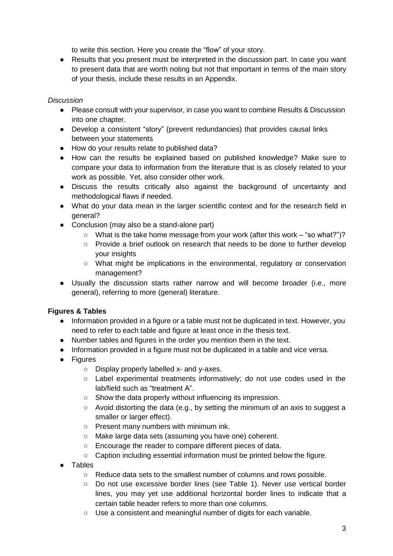to write this section. Here you create the "flow" of your story.

● Results that you present must be interpreted in the discussion part. In case you want to present data that are worth noting but not that important in terms of the main story of your thesis, include these results in an Appendix.

### *Discussion*

- Please consult with your supervisor, in case you want to combine Results & Discussion into one chapter.
- Develop a consistent "story" (prevent redundancies) that provides causal links between your statements
- How do your results relate to published data?
- How can the results be explained based on published knowledge? Make sure to compare your data to information from the literature that is as closely related to your work as possible. Yet, also consider other work.
- Discuss the results critically also against the background of uncertainty and methodological flaws if needed.
- What do your data mean in the larger scientific context and for the research field in general?
- Conclusion (may also be a stand-alone part)
	- What is the take home message from your work (after this work "so what?")?
	- Provide a brief outlook on research that needs to be done to further develop your insights
	- What might be implications in the environmental, regulatory or conservation management?
- Usually the discussion starts rather narrow and will become broader (i.e., more general), referring to more (general) literature.

# **Figures & Tables**

- Information provided in a figure or a table must not be duplicated in text. However, you need to refer to each table and figure at least once in the thesis text.
- Number tables and figures in the order you mention them in the text.
- Information provided in a figure must not be duplicated in a table and vice versa.
- Figures
	- Display properly labelled x- and y-axes.
	- Label experimental treatments informatively; do not use codes used in the lab/field such as "treatment A".
	- Show the data properly without influencing its impression.
	- Avoid distorting the data (e.g., by setting the minimum of an axis to suggest a smaller or larger effect).
	- Present many numbers with minimum ink.
	- Make large data sets (assuming you have one) coherent.
	- Encourage the reader to compare different pieces of data.
	- Caption including essential information must be printed below the figure.
- Tables
	- Reduce data sets to the smallest number of columns and rows possible.
	- Do not use excessive border lines (see Table 1). Never use vertical border lines, you may yet use additional horizontal border lines to indicate that a certain table header refers to more than one columns.
	- Use a consistent and meaningful number of digits for each variable.